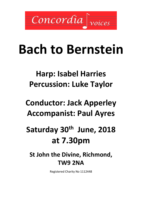

# **Bach to Bernstein**

## **Harp: Isabel Harries Percussion: Luke Taylor**

## **Conductor: Jack Apperley Accompanist: Paul Ayres**

## **Saturday 30th June, 2018 at 7.30pm**

### **St John the Divine, Richmond, TW9 2NA**

Registered Charity No 1112448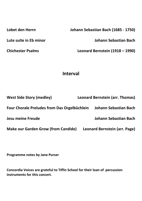**Lobet den Herrn Johann Sebastian Bach (1685 - 1750)**

**Lute suite in Eb minor Johann Sebastian Bach**

**Chichester Psalms Leonard Bernstein (1918 – 1990)**

### **Interval**

| <b>West Side Story (medley)</b>                     | Leonard Bernstein (arr. Thomas) |
|-----------------------------------------------------|---------------------------------|
| <b>Four Chorale Preludes from Das Orgelbüchlein</b> | Johann Sebastian Bach           |
| <b>Jesu meine Freude</b>                            | Johann Sebastian Bach           |
| <b>Make our Garden Grow (from Candide)</b>          | Leonard Bernstein (arr. Page)   |

**Programme notes by Jane Purser**

**Concordia Voices are grateful to Tiffin School for their loan of percussion instruments for this concert.**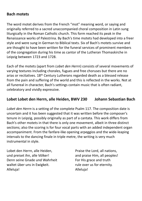#### **Bach motets**

The word motet derives from the French "mot" meaning word, or saying and originally referred to a sacred unaccompanied choral composition in Latin sung liturgically in the Roman Catholic church. This form reached its peak in the Renaissance works of Palestrina. By Bach's time motets had developed into a freer style and were sung in German to Biblical texts. Six of Bach's motets survive and are thought to have been written for the funeral services of prominent members of the congregation during his time as cantor of the Lutheran Thomaskirche in Leipzig between 1723 and 1728.

Each of the motets (apart from *Lobet den Herrn*) consists of several movements of varying textures including chorales, fugues and free choruses but there are no arias or recitatives. 18<sup>th</sup> Century Lutherans regarded death as a blessed release from the pain and suffering of the world and this is reflected in the works. Not at all funereal in character, Bach's settings contain music that is often radiant, celebratory and vividly expressive.

#### **Lobet Lobet den Herrn, alle Heiden, BWV 230 Johann Sebastian Bach**

*Lobet den Herrn* is a setting of the complete Psalm 117. The composition date is uncertain and it has been suggested that it was written before the composer's tenure in Leipzig, possibly originally as part of a cantata. This work differs from Bach's other motets in that there is only one movement, albeit in three distinct sections; also the scoring is for four vocal parts with an added independent organ accompaniment. From the fanfare-like opening arpeggios and the wide-leaping intervals to the dancing finale in triple metre, the writing is very much instrumental in style.

Lobet den Herrn, alle Heiden, und preiset ihn, alle Völker! Denn seine Gnade und Wahrheit waltet über uns in Ewigkeit. Alleluja!

Praise the Lord, all nations, and praise Him, all peoples! For His grace and truth rule over us for eternity. Alleluja!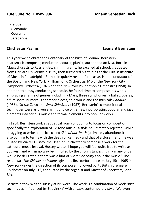#### **Lute Suite No. 1 BWV 996 Johann Sebastian Bach**

i. Prelude ii. Allemande iii. Courante iv. Sarabande

#### **Chichester Psalms Leonard Bernstein**

This year we celebrate the Centenary of the birth of Leonard Bernstein, charismatic composer, conductor, lecturer, pianist, author and activist. Born in Massachusetts to Russian-Jewish immigrants, he excelled at school, graduated from Harvard University in 1939, then furthered his studies at the Curtiss Institute of Music in Philadelphia. Bernstein quickly rose to fame as assistant conductor of the Boston and New York Philharmonic Orchestras, MD of the New York City Symphony Orchestra (1945) and the New York Philharmonic Orchestra (1958). In addition to a busy conducting schedule, he found time to compose, his works embracing a range of genres including a Mass, three symphonies, a ballet, operas, a film score, numerous chamber pieces, solo works and the musicals *Candide*  (1956), *On the Town* and *West Side Story* (1957). Bernstein's compositional techniques were as diverse as his choice of genres, incorporating popular and jazz elements into serious music and formal elements into popular works.

In 1964, Bernstein took a sabbatical from conducting to focus on composition, specifically the exploration of 12-tone music - a style he ultimately rejected. While struggling to write a musical called *Skin of our Teeth* (ultimately abandoned) and also coming to terms with the death of Kennedy and that of a close friend, he was invited by Walter Hussey, the Dean of Chichester to compose a work for the cathedral music festival. Hussey wrote "I hope you will feel quite free to write as you wish and will in no way be inhibited by the circumstances. I think many of us would be delighted if there was a hint of *West Side Story* about the music." The result was *The Chichester Psalms,* given its first performance on July 15th 1965 in New York under the direction of its composer, followed by its British premiere in Chichester on July 31st, conducted by the organist and Master of Choristers, John Birch.

Bernstein took Walter Hussey at his word. The work is a combination of modernist techniques (influenced by Stravinsky) with a jazzy, contemporary style. We even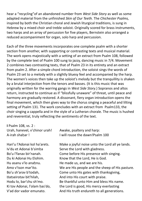hear a "recycling"of an abandoned number from *West Side Story* as well as some adapted material from the unfinished *Skin of Our Teeth.* The *Chichester Psalms,* inspired by both the Christian choral and Jewish liturgical traditions, is sung in Hebrew by a mixed choir and treble soloist. Originally scored for brass instruments, two harps and an array of percussion for five players, Bernstein also arranged a reduced accompaniment for organ, solo harp and percussion.

Each of the three movements incorporates one complete psalm with a shorter section from another, with supporting or contrasting texts and musical material. The work opens majestically with a setting of an extract from Psalm 108, followed by the complete text of Psalm 100 sung to jazzy, dancing music in 7/4. Movement 2 combines two contrasting texts, that of Psalm 23 in its entirety and an extract from psalm 2. After a simple chord introduction, the soloist sings the words of Psalm 23 set to a melody with a slightly bluesy feel and accompanied by the harp. The women's voices then take up the soloist's melody but the tranquillity is shaken by a brutal interjection from the tenors and basses. (It is this music that was originally written for the warring gangs in *West Side Story*.) Sopranos and altos return, instructed to continue as if "blissfully unaware" of threat, until peace and harmony are gradually restored. A dissonant, fiery organ introduction opens the final movement, which then gives way to the chorus singing a peaceful and lilting setting of Psalm 131. The work concludes with an extract from Psalm133, the choir singing a cappella and in the style of a Lutheran chorale. The music is hushed and reverential, truly reflecting the sentiments of the text.

| I Psalm 108, vs. 2 :          |                                                 |
|-------------------------------|-------------------------------------------------|
| Urah, hanevel, v'chinor urah! | Awake, psaltery and harp:                       |
| A-irah shahar!                | I will rouse the dawn!Psalm 100                 |
| Hari'u l'Adonai kol ha'arets. | Make a joyful noise unto the Lord all ye lands. |
| Iv'du et Adonai b'simha       | Serve the Lord with gladness.                   |
| Bo'u l'fanav bir'nanah.       | Come before His presence with singing.          |
| Du ki Adonai Hu Elohim.       | Know that the Lord, He is God.                  |
| Hu asanu v'lo anahnu.         | He made us, and we are his.                     |
| Amo v'tson mar'ito.           | We are His people and the sheep of His pasture. |
| Bo'u sh'arav b'todah,         | Come unto His gates with thanksgiving,          |
| Hatseirotav bit'hilah,        | And into His court with praise.                 |
| Hodu lo, bar'chu sh'mo.       | Be thankful unto Him and bless His name.        |
| Ki tov Adonai, l'olam has'do, | the Lord is good, His mercy everlasting         |
| V'ad dor vador emunato.       | And His truth endureth to all generations.      |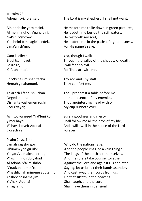**II** Psalm 23 Adonai ro-i, lo ehsar.

Bin'ot deshe yarbitseini, Al mei m'nuhot y'nahaleini, Naf'shi y'shovev, Yan'ḥeini b'ma'aglei tsedek, L'ma'an sh'mo.

Gam ki eilech B'gei tsalmavet, Lo ira ra, Ki Atah imadi.

Shiv't'cha umishan'techa Hemah y'naḥamuni.

Ta'aroch l'fanai shulchan Neged tsor'rai Dishanta vashemen roshi Cosi r'vayaḥ.

Ach tov vahesed Yird'funi kol y'mei ḥayai V'shav'ti b'veit Adonai L'orech yamim.

Psalm 2, vs. 1-4: Lamah rag'shu goyim Ul'umim yeh'gu rik? Yit'yats'vu malchei erets, V'roznim nos'du yaḥad Al Adonai v'al m'shiho. N'natkah et mos'roteimo, V'nashlichah mimenu avoteimo. Yoshev bashamayim Yis'ḥak, Adonai Yil'ag lamo!

The Lord is my shepherd, I shall not want.

He maketh me to lie down in green pastures, He leadeth me beside the still waters, He restoreth my soul, He leadeth me in the paths of righteousness, For His name's sake.

Yea, though I walk Through the valley of the shadow of death, I will fear no evil, For Thou art with me.

Thy rod and Thy staff They comfort me.

Thou preparest a table before me In the presence of my enemies, Thou anointest my head with oil, My cup runneth over.

Surely goodness and mercy Shall follow me all the days of my life, And I will dwell in the house of the Lord Forever.

Why do the nations rage, And the people imagine a vain thing? The kings of the earth set themselves, And the rulers take counsel together Against the Lord and against His anointed. Saying, let us break their bands asunder, And cast away their cords from us. He that sitteth in the heavens Shall laugh, and the Lord Shall have them in derision!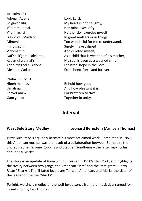**III** Psalm 131 Adonai, Adonai, Lo gavah libi, V'lo ramu einai, V'lo hilachti Big'dolot uv'niflaot Mimeni. Im lo shiviti V'domam'ti, Naf'shi k'gamul alei imo, Kagamul alai naf'shi. Yahel Yis'rael el Adonai Me'atah v'ad olam.

Psalm 133, vs. 1: Hineh mah tov, Umah na'im, Shevet ahim Gam yahad

Lord, Lord, My heart is not haughty, Nor mine eyes lofty, Neither do I exercise myself In great matters or in things Too wonderful for me to understand. Surely I have calmed And quieted myself, As a child that is weaned of his mother, My soul is even as a weaned child. Let Israel hope in the Lord From henceforth and forever.

Behold how good, And how pleasant it is, For brethren to dwell Together in unity.

### **Interval**

**West Side Story Medley Leonard Bernstein (Arr. Len Thomas)**

*West Side Story* is arguably Bernstein's most acclaimed work. Completed in 1957, this American musical was the result of a collaboration between Bernstein, the choreographer Jerome Robbins and Stephen Sondheim – the latter making his debut as a lyricist.

The story is an up-date of *Romeo and Juliet* set in 1950's New York, and highlights the rivalry between two gangs, the American "Jets" and the immigrant Puerto Rican "Sharks". The ill-fated lovers are Tony, an American, and Maria, the sister of the leader of the the "Sharks".

Tonight, we sing a medley of the well-loved songs from the musical, arranged for mixed choir by Len Thomas.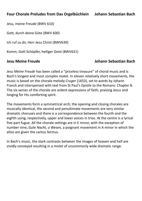#### **Four Chorale Preludes from Das Orgelbüchlein Johann Sebastian Bach**

Jesu, meine Freude (BWV 610)

Gott, durch deine Güte (BWV 600)

Ich ruf zu dir, Herr Jesu Christ (BWV639)

Komm, Gott Schöpfer, heiliger Geist (BWV631)

#### **Jesu Meine Freude Johann Sebastian Bach**

*Jesu Meine Freude* has been called a "priceless treasure" of choral music and is Bach's longest and most complex motet. In eleven relatively short movements, the music is based on the chorale melody *Cruger* (1653), set to words by Johann Franck and interspersed with text from St Paul's Epistle to the Romans: Chapter 8. The six verses of the chorale are ardent expressions of faith, praising Jesus and longing for His comforting spirit.

The movements form a symmetrical arch; the opening and closing chorales are musically identical, the second and penultimate movements are very similar dramatic choruses and there is a correspondence between the fourth and the eighth using, respectively, upper and lower voices in trios. At the centre is a lyrical five-part fugue. All the chorale settings are in E minor, with the exception of number nine, *Gute Nacht, o Wesen,* a poignant movement in A minor in which the altos are given the cantus fermus.

In Bach's music, the stark contrasts between the images of heaven and hell are vividly conveyed resulting in a motet of uncommonly wide dramatic range.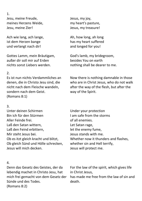1. Jesu, meine Freude, meines Herzens Weide, Jesu, meine Zier!

Ach wie lang, ach lange, ist dem Herzen bange und verlangt nach dir!

Gottes Lamm, mein Bräutigam, außer dir soll mir auf Erden nichts sonst Liebers werden.

#### 2.

Es ist nun nichts Verdammliches an denen, die in Christo Jesu sind, die nicht nach dem Fleische wandeln, sondern nach dem Geist. (Romans 8:1)

#### 3.

Unter deinen Schirmen Bin ich für den Stürmen Aller Feinde frei. Laß den Satan wittern, Laß den Feind erbittern, Mir steht Jesus bei. Ob es itzt gleich kracht und blitzt, Ob gleich Sünd und Hölle schrecken, Jesus will mich decken.

#### 4.

Denn das Gesetz des Geistes, der da lebendig machet in Christo Jesu, hat mich frei gemacht von dem Gesetz der Sünde und des Todes. (Romans 8:2)

Jesus, my joy, my heart's pasture, Jesus, my treasure!

Ah, how long, ah long has my heart suffered and longed for you!

God's lamb, my bridegroom, besides You on earth nothing shall be dearer to me.

Now there is nothing damnable in those who are in Christ Jesus, who do not walk after the way of the flesh, but after the way of the Spirit.

Under your protection I am safe from the storms of all enemies. Let Satan rage, let the enemy fume, Jesus stands with me. Whether now it thunders and flashes, whether sin and Hell terrify, Jesus will protect me.

For the law of the spirit, which gives life in Christ Jesus, has made me free from the law of sin and

death.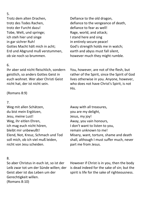#### 5.

Trotz dem alten Drachen, trotz des Todes Rachen, trotz der Furcht dazu! Tobe, Welt, und springe; ich steh hier und singe in gar sichrer Ruh! Gottes Macht hält mich in acht; Erd und Abgrund muß verstummen, ob sie noch so brummen.

#### 6.

Ihr aber seid nicht fleischlich, sondern geistlich, so anders Gottes Geist in euch wohnet. Wer aber Christi Geist nicht hat, der ist nicht sein.

#### (Romans 8:9)

#### 7.

Weg mit allen Schätzen, du bist mein Ergötzen, Jesu, meine Lust! Weg, ihr eitlen Ehren, ich mag euch nicht hören, bleibt mir unbewußt! Elend, Not, Kreuz, Schmach und Tod soll mich, ob ich viel muß leiden, nicht von Jesu scheiden.

#### 8.

So aber Christus in euch ist, so ist der Leib zwar tot um der Sünde willen; der Geist aber ist das Leben um der Gerechtigkeit willen. (Romans 8:10)

Defiance to the old dragon, defiance to the vengeance of death, defiance to fear as well! Rage, world, and attack; I stand here and sing in entirely secure peace! God's strength holds me in watch; earth and abyss must fall silent, however much they might rumble.

You, however, are not of the flesh, but rather of the Spirit, since the Spirit of God lives otherwise in you. Anyone, however, who does not have Christ's Spirit, is not His.

Away with all treasures, you are my delight, Jesus, my joy! Away, you vain honours, I don't want to listen to you, remain unknown to me! Misery, want, torture, shame and death shall, although I must suffer much, never part me from Jesus.

However if Christ is in you, then the body is dead indeed for the sake of sin; but the spirit is life for the sake of righteousness.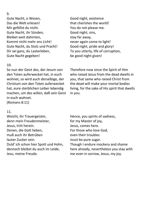#### 9.

Gute Nacht, o Wesen, Das die Welt erlesen! Mir gefällst du nicht. Gute Nacht, ihr Sünden, Bleibet weit dahinten, Kommt nicht mehr ans Licht! Gute Nacht, du Stolz und Pracht! Dir sei ganz, du Lasterleben, Gute Nacht gegeben!

#### 10.

So nun der Geist des, der Jesum von den Toten auferwecket hat, in euch wohnet, so wird auch derselbige, der Christum von den Toten auferwecket hat, eure sterblichen Leiber lebendig machen, um des willen, daß sein Geist in euch wohnet. (Romans 8:11)

Good night, existence that cherishes the world! You do not please me. Good night, sins, stay far away, never again come to light! Good night, pride and glory! To you utterly, life of corruption, be good night given!

Therefore now since the Spirit of Him who raised Jesus from the dead dwells in you, that same who raised Christ from the dead will make your mortal bodies living, for the sake of His spirit that dwells in you.

#### 11.

Weicht, ihr Trauergeister, denn mein Freudenmeister, Jesus, tritt herein. Denen, die Gott lieben, muß auch ihr Betrüben lauter Zucker sein. Duld' ich schon hier Spott und Hohn, dennoch bleibst du auch im Leide, Jesu, meine Freude.

Hence, you spirits of sadness, for my Master of joy, Jesus, comes here. For those who love God, even their troubles must be pure sugar. Though I endure mockery and shame here already, nevertheless you stay with me even in sorrow, Jesus, my joy.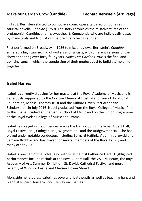In 1953, Bernstein started to compose a comic operetta based on Voltaire's satirical novella, *Candide* (1759). The story chronicles the misadventures of the protagonist, Candide, and his sweetheart, Cunegonde who are individually beset by many trials and tribulations before finally being reunited..

First performed on Broadway in 1956 to mixed reviews, Bernstein's *Candide* suffered a high turnaround of writers and lyricists, with different versions of the show appearing over forty-four years. *Make Our Garden Grow* is the final and uplifting song in which the couple sing of their modest goal to build a simple life together.

#### **Isabel Harries**

Isabel is currently studying for her masters at the Royal Academy of Music and is generously supported by the Craxton Memorial Trust, Mario Lanza Educational Foundation, Mansel Thomas Trust and the Milford Haven Port Authority Scholarship. In July 2016, Isabel graduated from the Royal College of Music. Prior to this, Isabel studied at Chetham's School of Music and on the junior programme at the Royal Welsh College of Music and Drama.

Isabel has played in major venues across the UK, including the Royal Albert Hall, Royal Festival Hall, Cadogan Hall, Wigmore Hall and the Bridgewater Hall. She has played under notable conductors including Bernard Haitink, Vladimir Jurowski and Semyon Bychkov and has played for several members of the Royal Family and many other VIPs.

Isabel is one half of the Solva Duo, with RCM flautist Catherine Hare. Highlighted performances include recitals at the Royal Albert Hall, the V&A Museum, the Royal Academy of Arts Summer Exhibition, St. Davids Cathedral Festival and more recently at Windsor Castle and Chelsea Flower Show!

Alongside her studies, Isabel has several private pupils as well as teaching harp and piano at Rupert House School, Henley on Thames.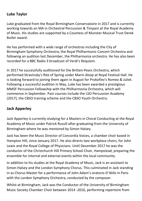#### **Luke Taylor**

Luke graduated from the Royal Birmingham Conservatoire in 2017 and is currently working towards an MA in Orchestral Percussion & Timpani at the Royal Academy of Music. His studies are supported by a Countess of Munster Musical Trust Derek Butler award.

He has performed with a wide range of orchestras including the City of Birmingham Symphony Orchestra, the Royal Philharmonic Concert Orchestra and following an audition last December, the Philharmonia orchestra. He has also been recorded for a BBC Radio 3 broadcast of Verdi's Requiem.

In 2017 he successfully auditioned for the Britten-Pears Orchestra, which performed Stravinsky's Rite of Spring under Marin Alsop at Royal Festival Hall. He is looking forward to joining them again in August for Prokofiev's Romeo & Juliet. Following a successful audition in May, Luke has been awarded a prestigious MMSF Percussion Fellowship with the Philharmonia Orchestra, which will commence in September. Past courses include the LSO Percussion Academy (2017), the CBSO training scheme and the CBSO Youth Orchestra.

#### **Jack Apperley**

Jack Apperley is currently studying for a Masters in Choral Conducting at the Royal Academy of Music under Patrick Russill after graduating from the University of Birmingham where he was mentored by Simon Halsey.

Jack has been the Music Director of Concordia Voices, a chamber choir based in Hampton Hill, since January 2017. He also directs two workplace choirs, for John Lewis and the Royal College of Physicians. Until December 2017 he was the conductor of the Christchurch Hill Primary School Choir, Hampstead, preparing the ensemble for internal and external events within the local community.

In addition to his studies at the Royal Academy of Music, Jack is an assistant to Simon Halsey and the London Symphony Chorus. This culminated in Jack standing in as Chorus Master for a performance of John Adam's oratorio *El Niňo* in Paris with the London Symphony Orchestra, conducted by the composer.

Whilst at Birmingham, Jack was the Conductor of the University of Birmingham Music Society Chamber Choir between 2014 -2016, performing repertoire from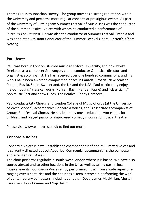Thomas Tallis to Jonathan Harvey. The group now has a strong reputation within the University and performs more regular concerts at prestigious events. As part of the University of Birmingham Summer Festival of Music, Jack was the conductor of the Summer Festival Voices with whom he conducted a performance of Purcell's *The Tempest*. He was also the conductor of Summer Festival Sinfonia and was appointed Assistant Conductor of the Summer Festival Opera, Britten's *Albert Herring*.

### **Paul Ayres**

Paul was born in London, studied music at Oxford University, and now works freelance as a composer & arranger, choral conductor & musical director, and organist & accompanist. He has received over one hundred commissions, and his works have been awarded composition prizes in Canada, Croatia, New Zealand, Poland, Russia, Spain, Switzerland, the UK and the USA. Paul particularly enjoys "re-composing" classical works (Purcell, Bach, Handel, Fauré) and "classicizing" pop music (jazz and show tunes, The Beatles, Happy Hardcore).

Paul conducts City Chorus and London College of Music Chorus (at the University of West London), accompanies Concordia Voices, and is associate accompanist of Crouch End Festival Chorus. He has led many music education workshops for children, and played piano for improvised comedy shows and musical theatre.

Please visit www.paulayres.co.uk to find out more.

### **Concordia Voices**

Concordia Voices is a well-established chamber choir of about 36 mixed voices and is currently directed by Jack Apperley. Our regular accompanist is the composer and arranger Paul Ayres.

The choir performs regularly in south-west London where it is based. We have also toured abroad and to other locations in the UK as well as taking part in local musical events. Concordia Voices enjoy performing music from a wide repertoire ranging over 4 centuries and the choir has a keen interest in performing the work of contemporary composers, including Jonathan Dove, James MacMillan, Morten Lauridsen, John Tavener and Naji Hakim.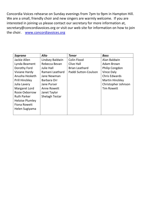Concordia Voices rehearse on Sunday evenings from 7pm to 9pm in Hampton Hill. We are a small, friendly choir and new singers are warmly welcome. If you are interested in joining us please contact our secretary for more information at, [secretary@concordiavoices.org](mailto:secretary@concordiavoices.org) or visit our web site for information on how to join the choir. [www.concordiavoices.org](http://www.concordiavoices.org/)

| Soprano                | <b>Alto</b>           | <b>Tenor</b>          | <b>Bass</b>            |
|------------------------|-----------------------|-----------------------|------------------------|
| Jackie Allen           | Lindsey Baldwin       | Colin Flood           | Alan Baldwin           |
| Lynda Beament          | Rebecca Bevan         | <b>Clive Hall</b>     | Adam Brown             |
| Dorothy Ford           | Julie Hall            | <b>Brian Leathard</b> | Philip Congdon         |
| Viviane Hardy          | Ramani Leathard       | Paddi Sutton-Coulson  | Vince Daly             |
| Anusha Hesketh         | Jane Newman           |                       | <b>Chris Edwards</b>   |
| <b>Prill Hinckley</b>  | Barbara Orr           |                       | <b>Martin Hinckley</b> |
| Julia Lavery           | Jane Purser           |                       | Christopher Johnson    |
| Margaret Lord          | Anne Rowett           |                       | <b>Tim Rowett</b>      |
| Rosie Oxborrow         | Janet Taylor          |                       |                        |
| <b>Ruth Parker</b>     | <b>Shelagh Testar</b> |                       |                        |
| <b>Heloise Plumley</b> |                       |                       |                        |
| <b>Fiona Rowett</b>    |                       |                       |                        |
| Helen Sugiyama         |                       |                       |                        |
|                        |                       |                       |                        |